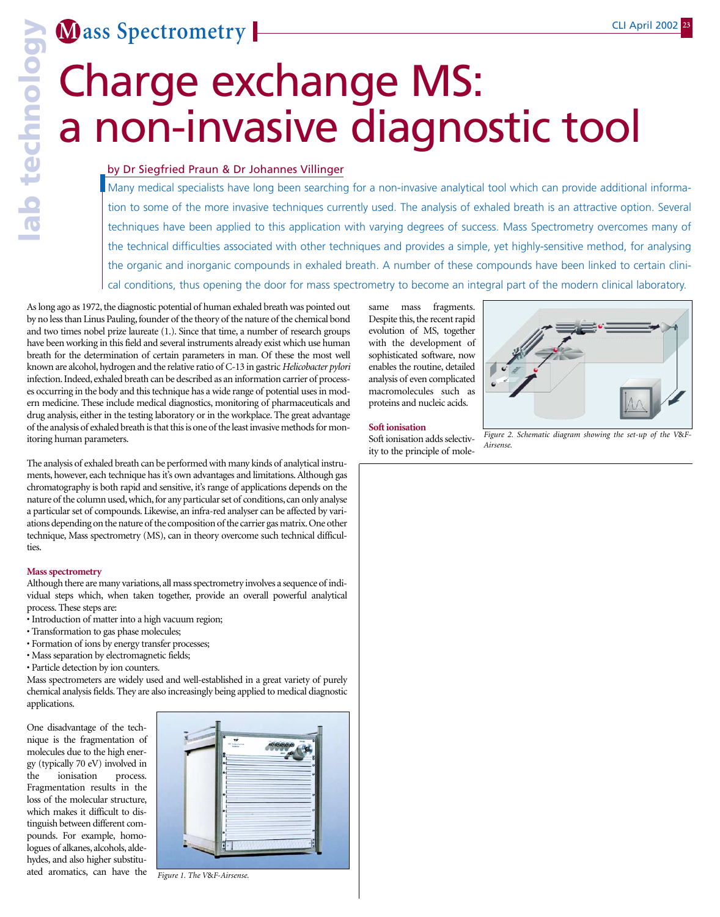**M ass Spectrometry** 

# Charge exchange MS: a non-invasive diagnostic tool

### by Dr Siegfried Praun & Dr Johannes Villinger

Many medical specialists have long been searching for a non-invasive analytical tool which can provide additional information to some of the more invasive techniques currently used. The analysis of exhaled breath is an attractive option. Several techniques have been applied to this application with varying degrees of success. Mass Spectrometry overcomes many of the technical difficulties associated with other techniques and provides a simple, yet highly-sensitive method, for analysing the organic and inorganic compounds in exhaled breath. A number of these compounds have been linked to certain clinical conditions, thus opening the door for mass spectrometry to become an integral part of the modern clinical laboratory.

As long ago as 1972, the diagnostic potential of human exhaled breath was pointed out by no less than Linus Pauling, founder of the theory of the nature of the chemical bond and two times nobel prize laureate (1.). Since that time, a number of research groups have been working in this field and several instruments already exist which use human breath for the determination of certain parameters in man. Of these the most well known are alcohol, hydrogen and the relative ratio of C-13 in gastric *Helicobacter pylori* infection. Indeed, exhaled breath can be described as an information carrier of processes occurring in the body and this technique has a wide range of potential uses in modern medicine. These include medical diagnostics, monitoring of pharmaceuticals and drug analysis, either in the testing laboratory or in the workplace. The great advantage of the analysis of exhaled breath is that this is one of the least invasive methods for monitoring human parameters.

The analysis of exhaled breath can be performed with many kinds of analytical instruments, however, each technique has it's own advantages and limitations. Although gas chromatography is both rapid and sensitive, it's range of applications depends on the nature of the column used, which, for any particular set of conditions, can only analyse a particular set of compounds. Likewise, an infra-red analyser can be affected by variations depending on the nature of the composition of the carrier gas matrix.One other technique, Mass spectrometry (MS), can in theory overcome such technical difficulties.

### **Mass spectrometry**

Although there are many variations, all mass spectrometry involves a sequence of individual steps which, when taken together, provide an overall powerful analytical process. These steps are:

- Introduction of matter into a high vacuum region;
- Transformation to gas phase molecules;
- Formation of ions by energy transfer processes;
- Mass separation by electromagnetic fields;
- Particle detection by ion counters.

Mass spectrometers are widely used and well-established in a great variety of purely chemical analysis fields. They are also increasingly being applied to medical diagnostic applications.

One disadvantage of the technique is the fragmentation of molecules due to the high energy (typically 70 eV) involved in the ionisation process. Fragmentation results in the loss of the molecular structure, which makes it difficult to distinguish between different compounds. For example, homologues of alkanes, alcohols, aldehydes, and also higher substituated aromatics, can have the



*Figure 1. The V*&*F-Airsense.*

same mass fragments. Despite this, the recent rapid evolution of MS, together with the development of sophisticated software, now enables the routine, detailed analysis of even complicated macromolecules such as proteins and nucleic acids.

### **Soft ionisation**

Soft ionisation adds selectivity to the principle of mole-



*Figure 2. Schematic diagram showing the set-up of the V*&*F-Airsense.*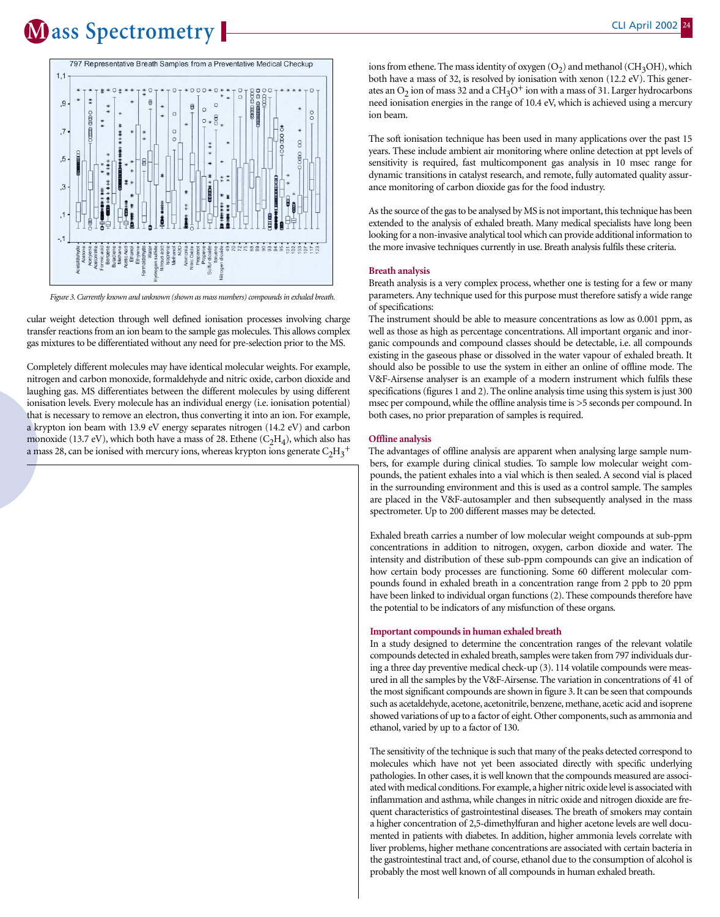### **M** ass Spectrometry **Property 2002**



*Figure 3. Currently known and unknown (shown as mass numbers) compounds in exhaled breath.*

cular weight detection through well defined ionisation processes involving charge transfer reactions from an ion beam to the sample gas molecules. This allows complex gas mixtures to be differentiated without any need for pre-selection prior to the MS.

Completely different molecules may have identical molecular weights. For example, nitrogen and carbon monoxide, formaldehyde and nitric oxide, carbon dioxide and laughing gas. MS differentiates between the different molecules by using different ionisation levels. Every molecule has an individual energy (i.e. ionisation potential) that is necessary to remove an electron, thus converting it into an ion. For example, a krypton ion beam with 13.9 eV energy separates nitrogen (14.2 eV) and carbon monoxide (13.7 eV), which both have a mass of 28. Ethene  $(C<sub>2</sub>H<sub>4</sub>)$ , which also has a mass 28, can be ionised with mercury ions, whereas krypton ions generate  $C_2H_3^+$ 

ions from ethene. The mass identity of oxygen  $(O_2)$  and methanol (CH<sub>3</sub>OH), which both have a mass of 32, is resolved by ionisation with xenon (12.2 eV). This generates an  $O_2$  ion of mass 32 and a CH<sub>3</sub>O<sup>+</sup> ion with a mass of 31. Larger hydrocarbons need ionisation energies in the range of 10.4 eV, which is achieved using a mercury ion beam.

The soft ionisation technique has been used in many applications over the past 15 years. These include ambient air monitoring where online detection at ppt levels of sensitivity is required, fast multicomponent gas analysis in 10 msec range for dynamic transitions in catalyst research, and remote, fully automated quality assurance monitoring of carbon dioxide gas for the food industry.

As the source of the gas to be analysed by MS is not important, this technique has been extended to the analysis of exhaled breath. Many medical specialists have long been looking for a non-invasive analytical tool which can provide additional information to the more invasive techniques currently in use. Breath analysis fulfils these criteria.

### **Breath analysis**

Breath analysis is a very complex process, whether one is testing for a few or many parameters. Any technique used for this purpose must therefore satisfy a wide range of specifications:

The instrument should be able to measure concentrations as low as 0.001 ppm, as well as those as high as percentage concentrations. All important organic and inorganic compounds and compound classes should be detectable, i.e. all compounds existing in the gaseous phase or dissolved in the water vapour of exhaled breath. It should also be possible to use the system in either an online of offline mode. The V&F-Airsense analyser is an example of a modern instrument which fulfils these specifications (figures 1 and 2). The online analysis time using this system is just 300 msec per compound, while the offline analysis time is >5 seconds per compound. In both cases, no prior preparation of samples is required.

#### **Offline analysis**

The advantages of offline analysis are apparent when analysing large sample numbers, for example during clinical studies. To sample low molecular weight compounds, the patient exhales into a vial which is then sealed. A second vial is placed in the surrounding environment and this is used as a control sample. The samples are placed in the V&F-autosampler and then subsequently analysed in the mass spectrometer. Up to 200 different masses may be detected.

Exhaled breath carries a number of low molecular weight compounds at sub-ppm concentrations in addition to nitrogen, oxygen, carbon dioxide and water. The intensity and distribution of these sub-ppm compounds can give an indication of how certain body processes are functioning. Some 60 different molecular compounds found in exhaled breath in a concentration range from 2 ppb to 20 ppm have been linked to individual organ functions (2). These compounds therefore have the potential to be indicators of any misfunction of these organs.

### **Important compounds in human exhaled breath**

In a study designed to determine the concentration ranges of the relevant volatile compounds detected in exhaled breath, samples were taken from 797 individuals during a three day preventive medical check-up (3). 114 volatile compounds were measured in all the samples by the V&F-Airsense. The variation in concentrations of 41 of the most significant compounds are shown in figure 3. It can be seen that compounds such as acetaldehyde, acetone, acetonitrile, benzene, methane, acetic acid and isoprene showed variations of up to a factor of eight. Other components, such as ammonia and ethanol, varied by up to a factor of 130.

The sensitivity of the technique is such that many of the peaks detected correspond to molecules which have not yet been associated directly with specific underlying pathologies. In other cases, it is well known that the compounds measured are associated with medical conditions. For example, a higher nitric oxide level is associated with inflammation and asthma, while changes in nitric oxide and nitrogen dioxide are frequent characteristics of gastrointestinal diseases. The breath of smokers may contain a higher concentration of 2,5-dimethylfuran and higher acetone levels are well documented in patients with diabetes. In addition, higher ammonia levels correlate with liver problems, higher methane concentrations are associated with certain bacteria in the gastrointestinal tract and, of course, ethanol due to the consumption of alcohol is probably the most well known of all compounds in human exhaled breath.